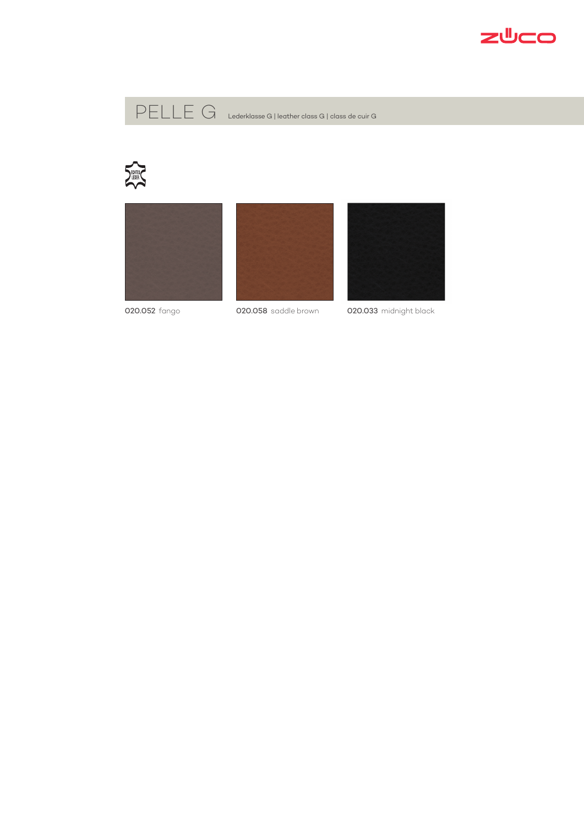











020.058 saddle brown



020.033 midnight black